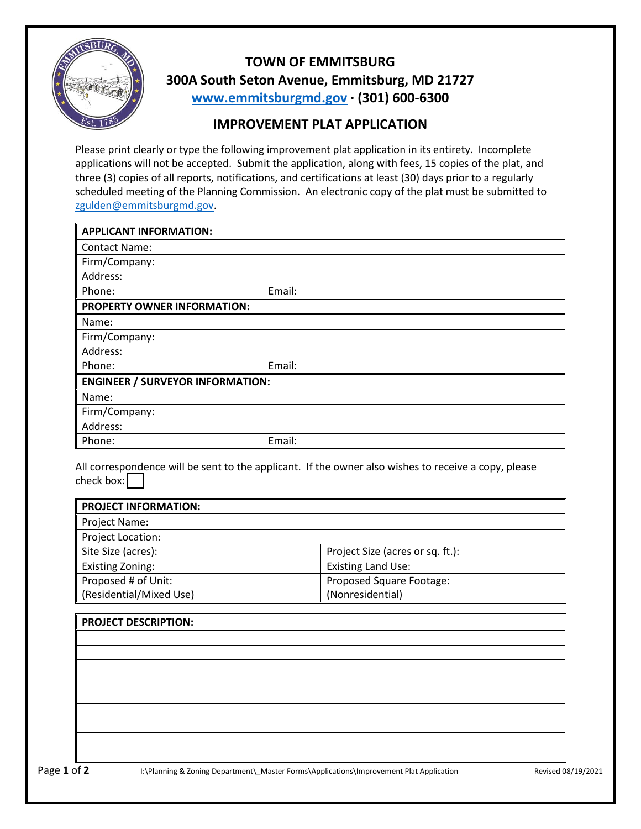

**TOWN OF EMMITSBURG 300A South Seton Avenue, Emmitsburg, MD 21727 [www.emmitsburgmd.gov](http://www.emmitsburgmd.gov/) · (301) 600-6300**

## **IMPROVEMENT PLAT APPLICATION**

Please print clearly or type the following improvement plat application in its entirety. Incomplete applications will not be accepted. Submit the application, along with fees, 15 copies of the plat, and three (3) copies of all reports, notifications, and certifications at least (30) days prior to a regularly scheduled meeting of the Planning Commission. An electronic copy of the plat must be submitted to [zgulden@emmitsburgmd.gov.](mailto:zgulden@emmitsburgmd.gov)

| <b>APPLICANT INFORMATION:</b>           |        |  |  |
|-----------------------------------------|--------|--|--|
| <b>Contact Name:</b>                    |        |  |  |
| Firm/Company:                           |        |  |  |
| Address:                                |        |  |  |
| Phone:                                  | Email: |  |  |
| PROPERTY OWNER INFORMATION:             |        |  |  |
| Name:                                   |        |  |  |
| Firm/Company:                           |        |  |  |
| Address:                                |        |  |  |
| Phone:                                  | Email: |  |  |
| <b>ENGINEER / SURVEYOR INFORMATION:</b> |        |  |  |
| Name:                                   |        |  |  |
| Firm/Company:                           |        |  |  |
| Address:                                |        |  |  |
| Phone:                                  | Email: |  |  |

All correspondence will be sent to the applicant. If the owner also wishes to receive a copy, please check box: $\boxed{\phantom{a}}$ 

| <b>PROJECT INFORMATION:</b> |                                  |
|-----------------------------|----------------------------------|
| Project Name:               |                                  |
| Project Location:           |                                  |
| Site Size (acres):          | Project Size (acres or sq. ft.): |
| <b>Existing Zoning:</b>     | <b>Existing Land Use:</b>        |
| Proposed # of Unit:         | Proposed Square Footage:         |
| (Residential/Mixed Use)     | (Nonresidential)                 |

| <b>PROJECT DESCRIPTION:</b> |  |
|-----------------------------|--|
|                             |  |
|                             |  |
|                             |  |
|                             |  |
|                             |  |
|                             |  |
|                             |  |
|                             |  |
|                             |  |
|                             |  |